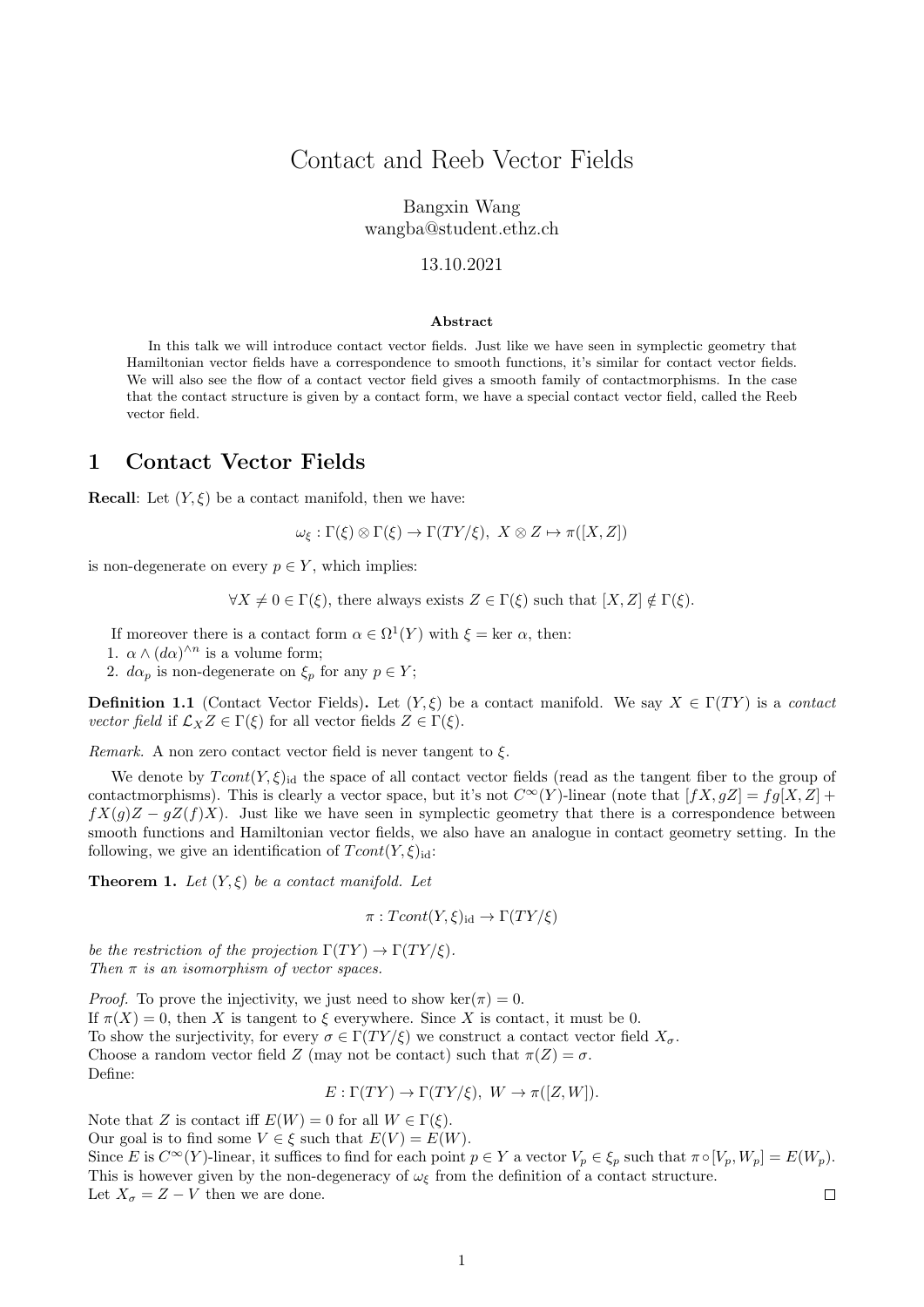## Contact and Reeb Vector Fields

Bangxin Wang wangba@student.ethz.ch

#### 13.10.2021

#### Abstract

In this talk we will introduce contact vector fields. Just like we have seen in symplectic geometry that Hamiltonian vector fields have a correspondence to smooth functions, it's similar for contact vector fields. We will also see the flow of a contact vector field gives a smooth family of contactmorphisms. In the case that the contact structure is given by a contact form, we have a special contact vector field, called the Reeb vector field.

#### 1 Contact Vector Fields

**Recall:** Let  $(Y, \xi)$  be a contact manifold, then we have:

 $\omega_{\xi} : \Gamma(\xi) \otimes \Gamma(\xi) \to \Gamma(TY/\xi), \ X \otimes Z \mapsto \pi([X, Z])$ 

is non-degenerate on every  $p \in Y$ , which implies:

 $\forall X \neq 0 \in \Gamma(\xi)$ , there always exists  $Z \in \Gamma(\xi)$  such that  $[X, Z] \notin \Gamma(\xi)$ .

If moreover there is a contact form  $\alpha \in \Omega^1(Y)$  with  $\xi = \text{ker } \alpha$ , then:

1.  $\alpha \wedge (d\alpha)^{\wedge n}$  is a volume form;

2.  $d\alpha_p$  is non-degenerate on  $\xi_p$  for any  $p \in Y$ ;

**Definition 1.1** (Contact Vector Fields). Let  $(Y, \xi)$  be a contact manifold. We say  $X \in \Gamma(TY)$  is a contact vector field if  $\mathcal{L}_X Z \in \Gamma(\xi)$  for all vector fields  $Z \in \Gamma(\xi)$ .

Remark. A non zero contact vector field is never tangent to  $\xi$ .

We denote by  $Tcont(Y, \xi)_{id}$  the space of all contact vector fields (read as the tangent fiber to the group of contactmorphisms). This is clearly a vector space, but it's not  $C^{\infty}(Y)$ -linear (note that  $[fX, gZ] = fg[X, Z] +$  $fX(q)Z - qZ(f)X$ . Just like we have seen in symplectic geometry that there is a correspondence between smooth functions and Hamiltonian vector fields, we also have an analogue in contact geometry setting. In the following, we give an identification of  $Tcont(Y, \xi)_{\text{id}}$ :

<span id="page-0-0"></span>**Theorem 1.** Let  $(Y, \xi)$  be a contact manifold. Let

 $\pi: Tcont(Y, \xi)_{\text{id}} \to \Gamma(TY/\xi)$ 

be the restriction of the projection  $\Gamma(TY) \to \Gamma(TY/\xi)$ . Then  $\pi$  is an isomorphism of vector spaces.

*Proof.* To prove the injectivity, we just need to show ker( $\pi$ ) = 0. If  $\pi(X) = 0$ , then X is tangent to  $\xi$  everywhere. Since X is contact, it must be 0. To show the surjectivity, for every  $\sigma \in \Gamma(TY/\xi)$  we construct a contact vector field  $X_{\sigma}$ . Choose a random vector field Z (may not be contact) such that  $\pi(Z) = \sigma$ . Define:

$$
E: \Gamma(TY) \to \Gamma(TY/\xi), \ W \to \pi([Z, W]).
$$

Note that Z is contact iff  $E(W) = 0$  for all  $W \in \Gamma(\xi)$ . Our goal is to find some  $V \in \xi$  such that  $E(V) = E(W)$ . Since E is  $C^{\infty}(Y)$ -linear, it suffices to find for each point  $p \in Y$  a vector  $V_p \in \xi_p$  such that  $\pi \circ [V_p, W_p] = E(W_p)$ . This is however given by the non-degeneracy of  $\omega_{\xi}$  from the definition of a contact structure. Let  $X_{\sigma} = Z - V$  then we are done.  $\Box$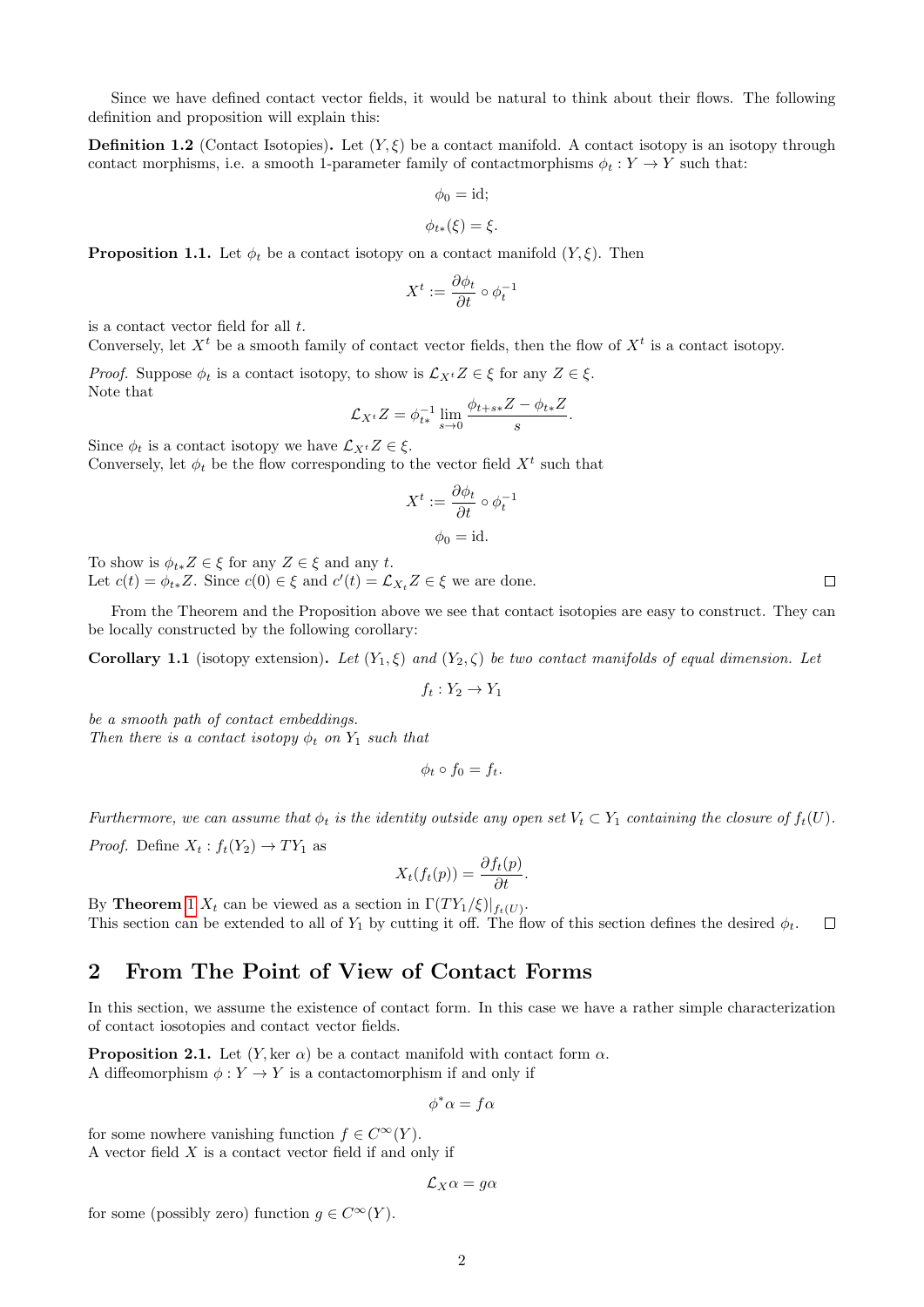Since we have defined contact vector fields, it would be natural to think about their flows. The following definition and proposition will explain this:

**Definition 1.2** (Contact Isotopies). Let  $(Y, \xi)$  be a contact manifold. A contact isotopy is an isotopy through contact morphisms, i.e. a smooth 1-parameter family of contactmorphisms  $\phi_t : Y \to Y$  such that:

$$
\phi_0 = \text{id};
$$
  

$$
\phi_{t*}(\xi) = \xi.
$$

<span id="page-1-2"></span>**Proposition 1.1.** Let  $\phi_t$  be a contact isotopy on a contact manifold  $(Y, \xi)$ . Then

$$
X^t:=\frac{\partial \phi_t}{\partial t}\circ \phi_t^{-1}
$$

is a contact vector field for all  $t$ .

Conversely, let  $X<sup>t</sup>$  be a smooth family of contact vector fields, then the flow of  $X<sup>t</sup>$  is a contact isotopy.

*Proof.* Suppose  $\phi_t$  is a contact isotopy, to show is  $\mathcal{L}_{X^t}Z \in \xi$  for any  $Z \in \xi$ . Note that

$$
\mathcal{L}_{X^t}Z = \phi_{t*}^{-1} \lim_{s \to 0} \frac{\phi_{t+s*}Z - \phi_{t*}Z}{s}.
$$

Since  $\phi_t$  is a contact isotopy we have  $\mathcal{L}_{X^t}Z \in \xi$ .

Conversely, let  $\phi_t$  be the flow corresponding to the vector field  $X^t$  such that

$$
X^{t} := \frac{\partial \phi_{t}}{\partial t} \circ \phi_{t}^{-1}
$$

$$
\phi_{0} = id.
$$

To show is  $\phi_{t*}Z \in \xi$  for any  $Z \in \xi$  and any t.

Let  $c(t) = \phi_{t*}Z$ . Since  $c(0) \in \xi$  and  $c'(t) = \mathcal{L}_{X_t}Z \in \xi$  we are done.

From the Theorem and the Proposition above we see that contact isotopies are easy to construct. They can be locally constructed by the following corollary:

<span id="page-1-1"></span>Corollary 1.1 (isotopy extension). Let  $(Y_1, \xi)$  and  $(Y_2, \zeta)$  be two contact manifolds of equal dimension. Let

 $f_t: Y_2 \to Y_1$ 

be a smooth path of contact embeddings. Then there is a contact isotopy  $\phi_t$  on  $Y_1$  such that

$$
\phi_t \circ f_0 = f_t.
$$

Furthermore, we can assume that  $\phi_t$  is the identity outside any open set  $V_t \subset Y_1$  containing the closure of  $f_t(U)$ .

*Proof.* Define  $X_t: f_t(Y_2) \to TY_1$  as

$$
X_t(f_t(p)) = \frac{\partial f_t(p)}{\partial t}.
$$

By **Theorem** [1](#page-0-0)  $X_t$  can be viewed as a section in  $\Gamma(TY_1/\xi)|_{f_t(U)}$ . This section can be extended to all of  $Y_1$  by cutting it off. The flow of this section defines the desired  $\phi_t$ .  $\Box$ 

## 2 From The Point of View of Contact Forms

In this section, we assume the existence of contact form. In this case we have a rather simple characterization of contact iosotopies and contact vector fields.

<span id="page-1-0"></span>**Proposition 2.1.** Let  $(Y, \text{ker } \alpha)$  be a contact manifold with contact form  $\alpha$ . A diffeomorphism  $\phi: Y \to Y$  is a contactomorphism if and only if

 $\phi^* \alpha = f \alpha$ 

for some nowhere vanishing function  $f \in C^{\infty}(Y)$ . A vector field  $X$  is a contact vector field if and only if

$$
\mathcal{L}_X\alpha = g\alpha
$$

for some (possibly zero) function  $g \in C^{\infty}(Y)$ .

 $\Box$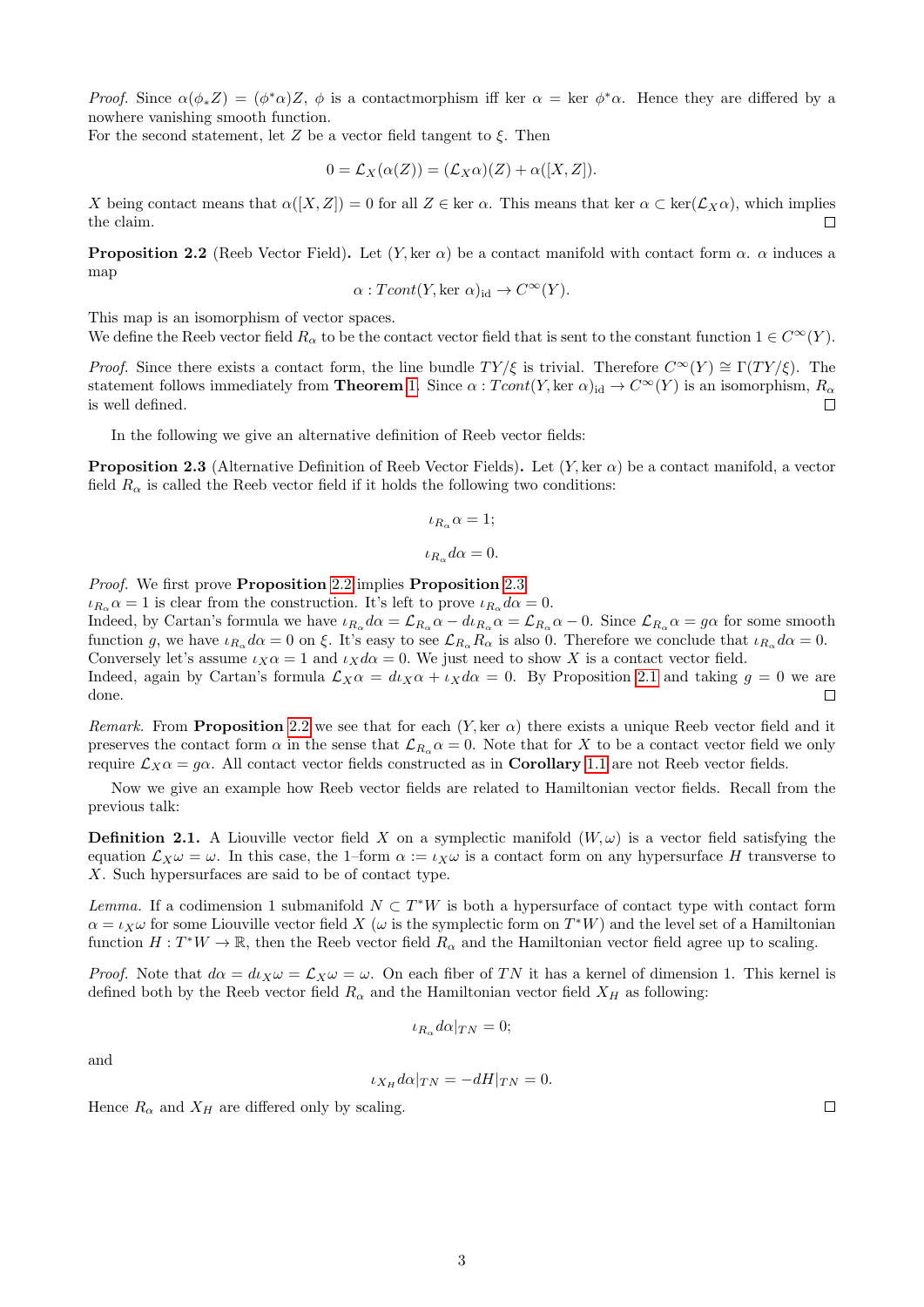Proof. Since  $\alpha(\phi_* Z) = (\phi^* \alpha) Z$ ,  $\phi$  is a contactmorphism iff ker  $\alpha = \text{ker } \phi^* \alpha$ . Hence they are differed by a nowhere vanishing smooth function.

For the second statement, let Z be a vector field tangent to  $\xi$ . Then

$$
0 = \mathcal{L}_X(\alpha(Z)) = (\mathcal{L}_X \alpha)(Z) + \alpha([X, Z]).
$$

X being contact means that  $\alpha([X, Z]) = 0$  for all  $Z \in \text{ker } \alpha$ . This means that ker  $\alpha \subset \text{ker}(\mathcal{L}_X \alpha)$ , which implies the claim.  $\Box$ 

<span id="page-2-0"></span>**Proposition 2.2** (Reeb Vector Field). Let  $(Y, \text{ker } \alpha)$  be a contact manifold with contact form  $\alpha$ .  $\alpha$  induces a map

$$
\alpha: Tcont(Y, \text{ker }\alpha)_{\text{id}} \to C^{\infty}(Y).
$$

This map is an isomorphism of vector spaces.

We define the Reeb vector field  $R_{\alpha}$  to be the contact vector field that is sent to the constant function  $1 \in C^{\infty}(Y)$ .

*Proof.* Since there exists a contact form, the line bundle  $TY/\xi$  is trivial. Therefore  $C^{\infty}(Y) \cong \Gamma(T Y/\xi)$ . The statement follows immediately from **Theorem** [1.](#page-0-0) Since  $\alpha : Tcont(Y, \text{ker }\alpha)_{id} \to C^{\infty}(Y)$  is an isomorphism,  $R_{\alpha}$ is well defined.  $\Box$ 

In the following we give an alternative definition of Reeb vector fields:

<span id="page-2-1"></span>**Proposition 2.3** (Alternative Definition of Reeb Vector Fields). Let  $(Y, \text{ker } \alpha)$  be a contact manifold, a vector field  $R_{\alpha}$  is called the Reeb vector field if it holds the following two conditions:

$$
\iota_{R_{\alpha}}\alpha = 1;
$$
  

$$
\iota_{R_{\alpha}}d\alpha = 0.
$$

Proof. We first prove Proposition [2.2](#page-2-0) implies Proposition [2.3.](#page-2-1)

 $\iota_{R_{\alpha}}\alpha = 1$  is clear from the construction. It's left to prove  $\iota_{R_{\alpha}}d\alpha = 0$ .

Indeed, by Cartan's formula we have  $\iota_{R_\alpha} d\alpha = \mathcal{L}_{R_\alpha} \alpha - d\iota_{R_\alpha} \alpha = \mathcal{L}_{R_\alpha} \alpha - 0$ . Since  $\mathcal{L}_{R_\alpha} \alpha = g\alpha$  for some smooth function g, we have  $\iota_{R_\alpha} d\alpha = 0$  on  $\xi$ . It's easy to see  $\mathcal{L}_{R_\alpha} R_\alpha$  is also 0. Therefore we conclude that  $\iota_{R_\alpha} d\alpha = 0$ . Conversely let's assume  $\iota_X \alpha = 1$  and  $\iota_X d\alpha = 0$ . We just need to show X is a contact vector field.

Indeed, again by Cartan's formula  $\mathcal{L}_X\alpha = d\iota_X\alpha + \iota_Xd\alpha = 0$ . By Proposition [2.1](#page-1-0) and taking  $g = 0$  we are done.  $\Box$ 

Remark. From Proposition [2.2](#page-2-0) we see that for each  $(Y, \text{ker } \alpha)$  there exists a unique Reeb vector field and it preserves the contact form  $\alpha$  in the sense that  $\mathcal{L}_{R_{\alpha}}\alpha = 0$ . Note that for X to be a contact vector field we only require  $\mathcal{L}_{X}\alpha = q\alpha$ . All contact vector fields constructed as in **Corollary** [1.1](#page-1-1) are not Reeb vector fields.

Now we give an example how Reeb vector fields are related to Hamiltonian vector fields. Recall from the previous talk:

**Definition 2.1.** A Liouville vector field X on a symplectic manifold  $(W, \omega)$  is a vector field satisfying the equation  $\mathcal{L}_X\omega=\omega$ . In this case, the 1–form  $\alpha:=\iota_X\omega$  is a contact form on any hypersurface H transverse to X. Such hypersurfaces are said to be of contact type.

Lemma. If a codimension 1 submanifold  $N \subset T^*W$  is both a hypersurface of contact type with contact form  $\alpha = \iota_X \omega$  for some Liouville vector field X ( $\omega$  is the symplectic form on  $T^*W$ ) and the level set of a Hamiltonian function  $H: T^*W \to \mathbb{R}$ , then the Reeb vector field  $R_\alpha$  and the Hamiltonian vector field agree up to scaling.

*Proof.* Note that  $d\alpha = d\iota_X \omega = \mathcal{L}_X \omega = \omega$ . On each fiber of TN it has a kernel of dimension 1. This kernel is defined both by the Reeb vector field  $R_{\alpha}$  and the Hamiltonian vector field  $X_H$  as following:

$$
\iota_{R_{\alpha}}d\alpha|_{TN}=0;
$$

and

$$
\iota_{X_H} d\alpha|_{TN} = -dH|_{TN} = 0.
$$

Hence  $R_{\alpha}$  and  $X_H$  are differed only by scaling.

 $\Box$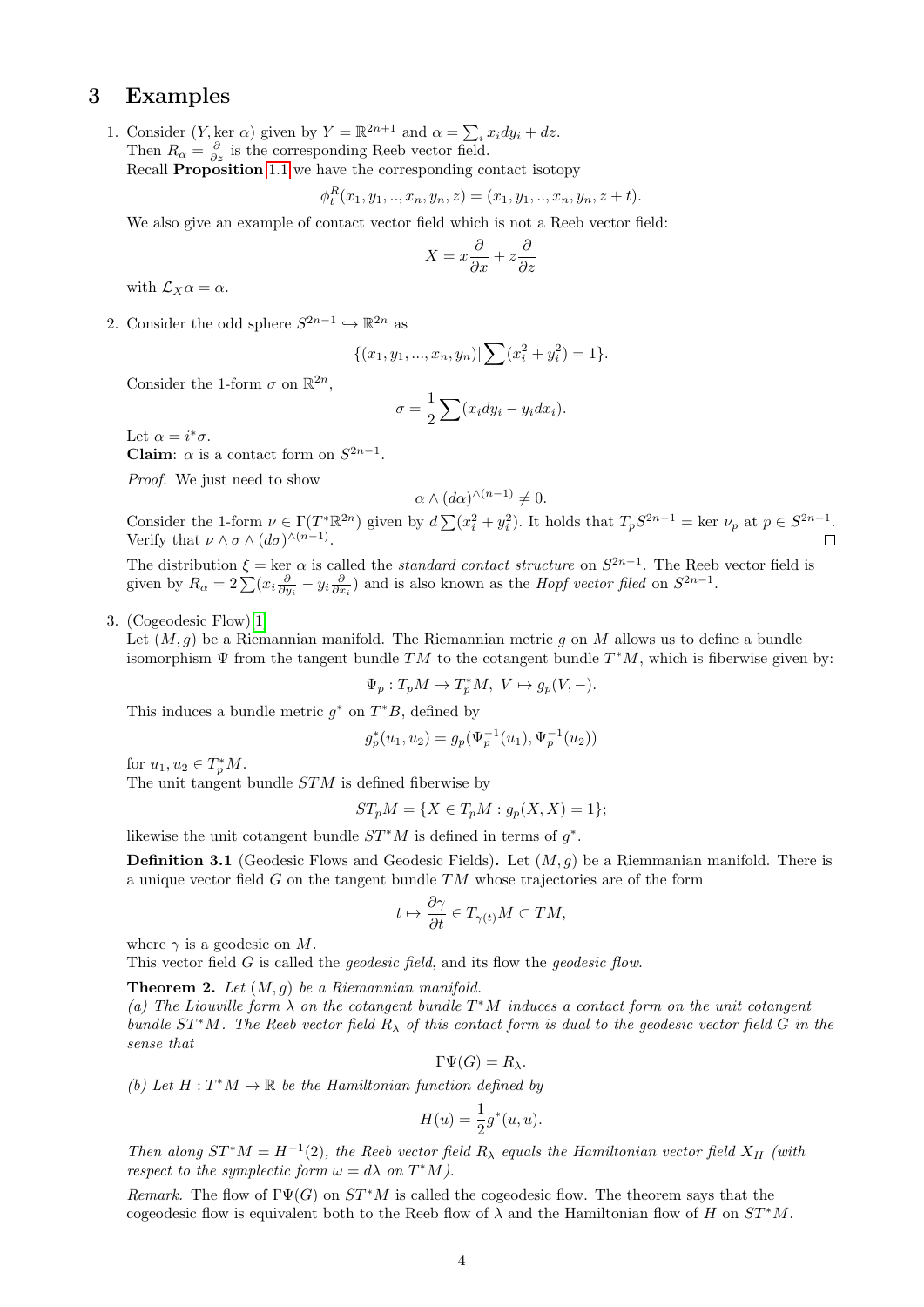## 3 Examples

1. Consider  $(Y, \ker \alpha)$  given by  $Y = \mathbb{R}^{2n+1}$  and  $\alpha = \sum_i x_i dy_i + dz$ . Then  $R_{\alpha} = \frac{\partial}{\partial z}$  is the corresponding Reeb vector field. Recall Proposition [1.1](#page-1-2) we have the corresponding contact isotopy

$$
\phi_t^R(x_1, y_1, \dots, x_n, y_n, z) = (x_1, y_1, \dots, x_n, y_n, z + t).
$$

We also give an example of contact vector field which is not a Reeb vector field:

$$
X = x\frac{\partial}{\partial x} + z\frac{\partial}{\partial z}
$$

with  $\mathcal{L}_X \alpha = \alpha$ .

2. Consider the odd sphere  $S^{2n-1} \hookrightarrow \mathbb{R}^{2n}$  as

$$
\{(x_1, y_1, ..., x_n, y_n) | \sum (x_i^2 + y_i^2) = 1 \}.
$$

Consider the 1-form  $\sigma$  on  $\mathbb{R}^{2n}$ ,

$$
\sigma = \frac{1}{2} \sum (x_i dy_i - y_i dx_i).
$$

Let  $\alpha = i^* \sigma$ . Claim:  $\alpha$  is a contact form on  $S^{2n-1}$ .

Proof. We just need to show

$$
\alpha \wedge (d\alpha)^{\wedge (n-1)} \neq 0.
$$

Consider the 1-form  $\nu \in \Gamma(T^*\mathbb{R}^{2n})$  given by  $d\sum_{i=1}^n (x_i^2 + y_i^2)$ . It holds that  $T_pS^{2n-1} = \text{ker }\nu_p$  at  $p \in S^{2n-1}$ . Verify that  $\nu \wedge \sigma \wedge (d\sigma)^{\wedge (n-1)}$ .

The distribution  $\xi = \ker \alpha$  is called the *standard contact structure* on  $S^{2n-1}$ . The Reeb vector field is given by  $R_{\alpha} = 2\sum (x_i \frac{\partial}{\partial y_i} - y_i \frac{\partial}{\partial x_i})$  and is also known as the *Hopf vector filed* on  $S^{2n-1}$ .

3. (Cogeodesic Flow)[\[1\]](#page-4-0)

Let  $(M, q)$  be a Riemannian manifold. The Riemannian metric q on M allows us to define a bundle isomorphism  $\Psi$  from the tangent bundle TM to the cotangent bundle  $T^*M$ , which is fiberwise given by:

$$
\Psi_p: T_p M \to T_p^* M, \ V \mapsto g_p(V, -).
$$

This induces a bundle metric  $g^*$  on  $T^*B$ , defined by

$$
g_p^*(u_1, u_2) = g_p(\Psi_p^{-1}(u_1), \Psi_p^{-1}(u_2))
$$

for  $u_1, u_2 \in T_p^* M$ .

The unit tangent bundle STM is defined fiberwise by

$$
ST_pM = \{ X \in T_pM : g_p(X, X) = 1 \};
$$

likewise the unit cotangent bundle  $ST^*M$  is defined in terms of  $g^*$ .

**Definition 3.1** (Geodesic Flows and Geodesic Fields). Let  $(M, g)$  be a Riemmanian manifold. There is a unique vector field  $G$  on the tangent bundle  $TM$  whose trajectories are of the form

$$
t\mapsto \frac{\partial \gamma}{\partial t}\in T_{\gamma(t)}M\subset TM,
$$

where  $\gamma$  is a geodesic on M.

This vector field G is called the *geodesic field*, and its flow the *geodesic flow*.

**Theorem 2.** Let  $(M, g)$  be a Riemannian manifold.

(a) The Liouville form  $\lambda$  on the cotangent bundle  $T^*M$  induces a contact form on the unit cotangent bundle  $ST^*M$ . The Reeb vector field  $R_\lambda$  of this contact form is dual to the geodesic vector field G in the sense that

$$
\Gamma \Psi(G) = R_{\lambda}.
$$

(b) Let  $H: T^*M \to \mathbb{R}$  be the Hamiltonian function defined by

$$
H(u) = \frac{1}{2}g^*(u, u).
$$

Then along  $ST^*M = H^{-1}(2)$ , the Reeb vector field  $R_\lambda$  equals the Hamiltonian vector field  $X_H$  (with respect to the symplectic form  $\omega = d\lambda$  on  $T^*M$ ).

Remark. The flow of  $\Gamma \Psi(G)$  on  $ST^*M$  is called the cogeodesic flow. The theorem says that the cogeodesic flow is equivalent both to the Reeb flow of  $\lambda$  and the Hamiltonian flow of H on  $ST^*M$ .